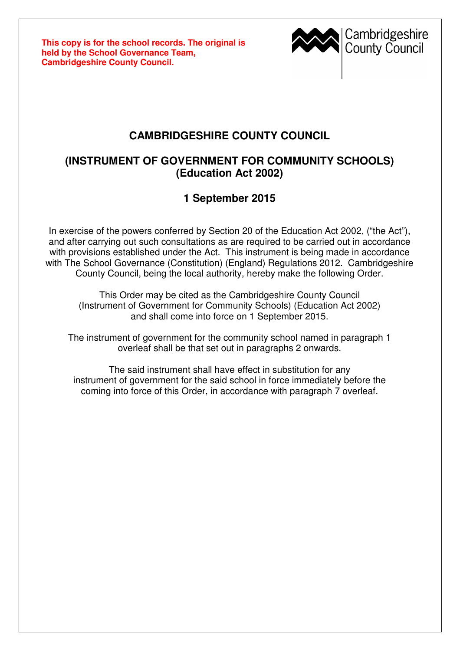**This copy is for the school records. The original is held by the School Governance Team, Cambridgeshire County Council.**



## **CAMBRIDGESHIRE COUNTY COUNCIL**

## **(INSTRUMENT OF GOVERNMENT FOR COMMUNITY SCHOOLS) (Education Act 2002)**

## **1 September 2015**

In exercise of the powers conferred by Section 20 of the Education Act 2002, ("the Act"), and after carrying out such consultations as are required to be carried out in accordance with provisions established under the Act. This instrument is being made in accordance with The School Governance (Constitution) (England) Regulations 2012. Cambridgeshire County Council, being the local authority, hereby make the following Order.

This Order may be cited as the Cambridgeshire County Council (Instrument of Government for Community Schools) (Education Act 2002) and shall come into force on 1 September 2015.

The instrument of government for the community school named in paragraph 1 overleaf shall be that set out in paragraphs 2 onwards.

The said instrument shall have effect in substitution for any instrument of government for the said school in force immediately before the coming into force of this Order, in accordance with paragraph 7 overleaf.